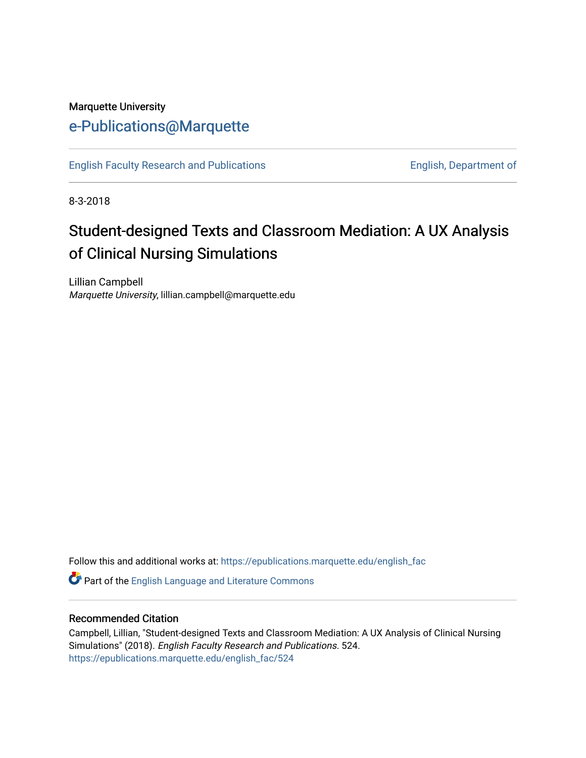## Marquette University [e-Publications@Marquette](https://epublications.marquette.edu/)

[English Faculty Research and Publications](https://epublications.marquette.edu/english_fac) **English, Department of** English, Department of

8-3-2018

## Student-designed Texts and Classroom Mediation: A UX Analysis of Clinical Nursing Simulations

Lillian Campbell Marquette University, lillian.campbell@marquette.edu

Follow this and additional works at: [https://epublications.marquette.edu/english\\_fac](https://epublications.marquette.edu/english_fac?utm_source=epublications.marquette.edu%2Fenglish_fac%2F524&utm_medium=PDF&utm_campaign=PDFCoverPages)

Part of the [English Language and Literature Commons](http://network.bepress.com/hgg/discipline/455?utm_source=epublications.marquette.edu%2Fenglish_fac%2F524&utm_medium=PDF&utm_campaign=PDFCoverPages)

#### Recommended Citation

Campbell, Lillian, "Student-designed Texts and Classroom Mediation: A UX Analysis of Clinical Nursing Simulations" (2018). English Faculty Research and Publications. 524. [https://epublications.marquette.edu/english\\_fac/524](https://epublications.marquette.edu/english_fac/524?utm_source=epublications.marquette.edu%2Fenglish_fac%2F524&utm_medium=PDF&utm_campaign=PDFCoverPages)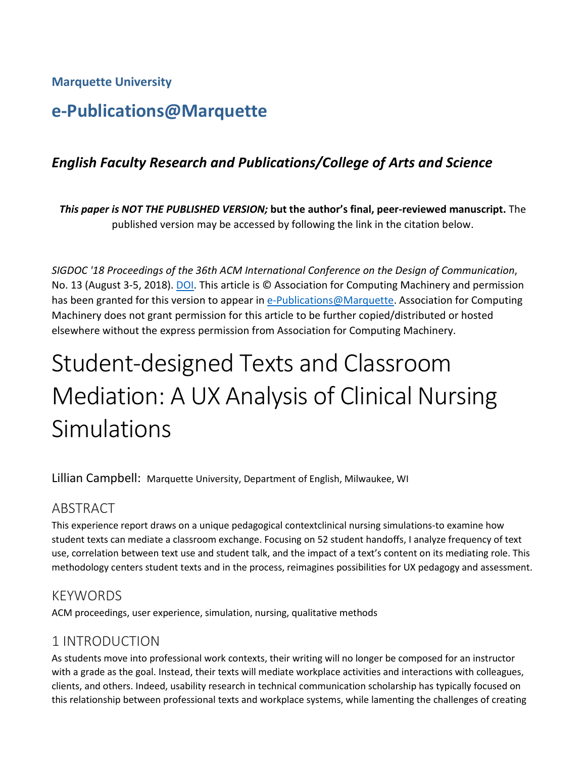**Marquette University**

## **e-Publications@Marquette**

## *English Faculty Research and Publications/College of Arts and Science*

*This paper is NOT THE PUBLISHED VERSION;* **but the author's final, peer-reviewed manuscript.** The published version may be accessed by following the link in the citation below.

*SIGDOC '18 Proceedings of the 36th ACM International Conference on the Design of Communication*, No. 13 (August 3-5, 2018). [DOI.](https://dl.acm.org/citation.cfm?doid=3233756.3233941) This article is © Association for Computing Machinery and permission has been granted for this version to appear in [e-Publications@Marquette.](http://epublications.marquette.edu/) Association for Computing Machinery does not grant permission for this article to be further copied/distributed or hosted elsewhere without the express permission from Association for Computing Machinery.

# Student-designed Texts and Classroom Mediation: A UX Analysis of Clinical Nursing Simulations

Lillian Campbell: Marquette University, Department of English, Milwaukee, WI

## ABSTRACT

This experience report draws on a unique pedagogical contextclinical nursing simulations-to examine how student texts can mediate a classroom exchange. Focusing on 52 student handoffs, I analyze frequency of text use, correlation between text use and student talk, and the impact of a text's content on its mediating role. This methodology centers student texts and in the process, reimagines possibilities for UX pedagogy and assessment.

## **KEYWORDS**

ACM proceedings, user experience, simulation, nursing, qualitative methods

## 1 INTRODUCTION

As students move into professional work contexts, their writing will no longer be composed for an instructor with a grade as the goal. Instead, their texts will mediate workplace activities and interactions with colleagues, clients, and others. Indeed, usability research in technical communication scholarship has typically focused on this relationship between professional texts and workplace systems, while lamenting the challenges of creating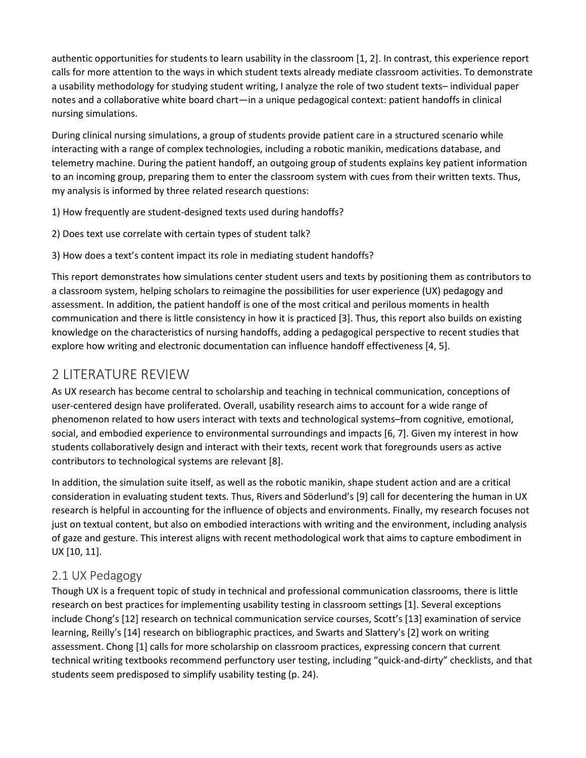authentic opportunities for students to learn usability in the classroom [1, 2]. In contrast, this experience report calls for more attention to the ways in which student texts already mediate classroom activities. To demonstrate a usability methodology for studying student writing, I analyze the role of two student texts– individual paper notes and a collaborative white board chart—in a unique pedagogical context: patient handoffs in clinical nursing simulations.

During clinical nursing simulations, a group of students provide patient care in a structured scenario while interacting with a range of complex technologies, including a robotic manikin, medications database, and telemetry machine. During the patient handoff, an outgoing group of students explains key patient information to an incoming group, preparing them to enter the classroom system with cues from their written texts. Thus, my analysis is informed by three related research questions:

1) How frequently are student-designed texts used during handoffs?

- 2) Does text use correlate with certain types of student talk?
- 3) How does a text's content impact its role in mediating student handoffs?

This report demonstrates how simulations center student users and texts by positioning them as contributors to a classroom system, helping scholars to reimagine the possibilities for user experience (UX) pedagogy and assessment. In addition, the patient handoff is one of the most critical and perilous moments in health communication and there is little consistency in how it is practiced [3]. Thus, this report also builds on existing knowledge on the characteristics of nursing handoffs, adding a pedagogical perspective to recent studies that explore how writing and electronic documentation can influence handoff effectiveness [4, 5].

## 2 LITERATURE REVIEW

As UX research has become central to scholarship and teaching in technical communication, conceptions of user-centered design have proliferated. Overall, usability research aims to account for a wide range of phenomenon related to how users interact with texts and technological systems–from cognitive, emotional, social, and embodied experience to environmental surroundings and impacts [6, 7]. Given my interest in how students collaboratively design and interact with their texts, recent work that foregrounds users as active contributors to technological systems are relevant [8].

In addition, the simulation suite itself, as well as the robotic manikin, shape student action and are a critical consideration in evaluating student texts. Thus, Rivers and Söderlund's [9] call for decentering the human in UX research is helpful in accounting for the influence of objects and environments. Finally, my research focuses not just on textual content, but also on embodied interactions with writing and the environment, including analysis of gaze and gesture. This interest aligns with recent methodological work that aims to capture embodiment in UX [10, 11].

## 2.1 UX Pedagogy

Though UX is a frequent topic of study in technical and professional communication classrooms, there is little research on best practices for implementing usability testing in classroom settings [1]. Several exceptions include Chong's [12] research on technical communication service courses, Scott's [13] examination of service learning, Reilly's [14] research on bibliographic practices, and Swarts and Slattery's [2] work on writing assessment. Chong [1] calls for more scholarship on classroom practices, expressing concern that current technical writing textbooks recommend perfunctory user testing, including "quick-and-dirty" checklists, and that students seem predisposed to simplify usability testing (p. 24).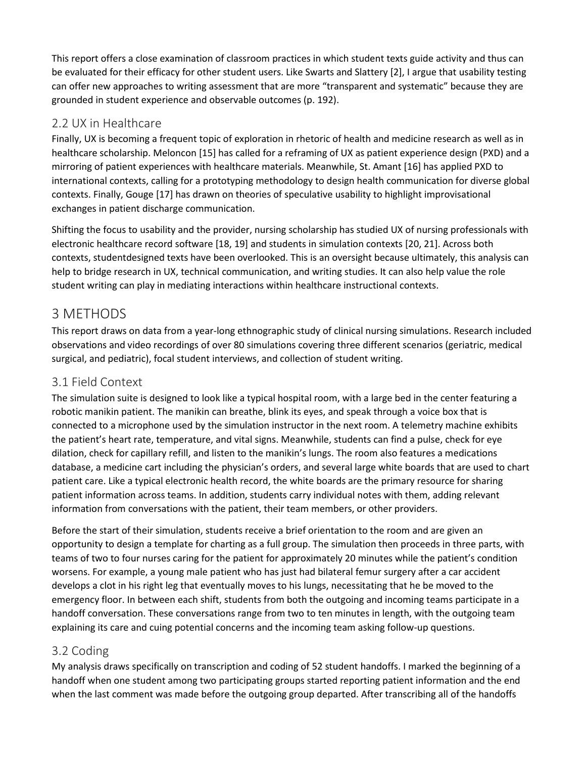This report offers a close examination of classroom practices in which student texts guide activity and thus can be evaluated for their efficacy for other student users. Like Swarts and Slattery [2], I argue that usability testing can offer new approaches to writing assessment that are more "transparent and systematic" because they are grounded in student experience and observable outcomes (p. 192).

#### 2.2 UX in Healthcare

Finally, UX is becoming a frequent topic of exploration in rhetoric of health and medicine research as well as in healthcare scholarship. Meloncon [15] has called for a reframing of UX as patient experience design (PXD) and a mirroring of patient experiences with healthcare materials. Meanwhile, St. Amant [16] has applied PXD to international contexts, calling for a prototyping methodology to design health communication for diverse global contexts. Finally, Gouge [17] has drawn on theories of speculative usability to highlight improvisational exchanges in patient discharge communication.

Shifting the focus to usability and the provider, nursing scholarship has studied UX of nursing professionals with electronic healthcare record software [18, 19] and students in simulation contexts [20, 21]. Across both contexts, studentdesigned texts have been overlooked. This is an oversight because ultimately, this analysis can help to bridge research in UX, technical communication, and writing studies. It can also help value the role student writing can play in mediating interactions within healthcare instructional contexts.

## 3 METHODS

This report draws on data from a year-long ethnographic study of clinical nursing simulations. Research included observations and video recordings of over 80 simulations covering three different scenarios (geriatric, medical surgical, and pediatric), focal student interviews, and collection of student writing.

#### 3.1 Field Context

The simulation suite is designed to look like a typical hospital room, with a large bed in the center featuring a robotic manikin patient. The manikin can breathe, blink its eyes, and speak through a voice box that is connected to a microphone used by the simulation instructor in the next room. A telemetry machine exhibits the patient's heart rate, temperature, and vital signs. Meanwhile, students can find a pulse, check for eye dilation, check for capillary refill, and listen to the manikin's lungs. The room also features a medications database, a medicine cart including the physician's orders, and several large white boards that are used to chart patient care. Like a typical electronic health record, the white boards are the primary resource for sharing patient information across teams. In addition, students carry individual notes with them, adding relevant information from conversations with the patient, their team members, or other providers.

Before the start of their simulation, students receive a brief orientation to the room and are given an opportunity to design a template for charting as a full group. The simulation then proceeds in three parts, with teams of two to four nurses caring for the patient for approximately 20 minutes while the patient's condition worsens. For example, a young male patient who has just had bilateral femur surgery after a car accident develops a clot in his right leg that eventually moves to his lungs, necessitating that he be moved to the emergency floor. In between each shift, students from both the outgoing and incoming teams participate in a handoff conversation. These conversations range from two to ten minutes in length, with the outgoing team explaining its care and cuing potential concerns and the incoming team asking follow-up questions.

#### 3.2 Coding

My analysis draws specifically on transcription and coding of 52 student handoffs. I marked the beginning of a handoff when one student among two participating groups started reporting patient information and the end when the last comment was made before the outgoing group departed. After transcribing all of the handoffs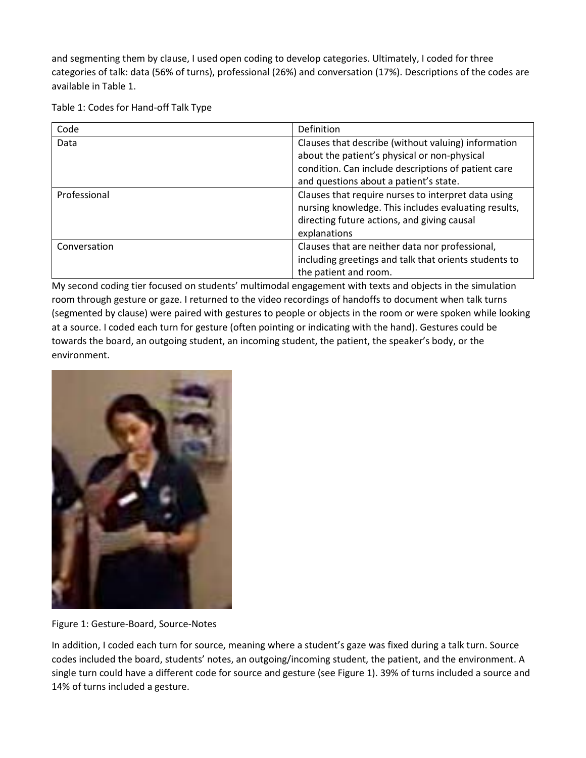and segmenting them by clause, I used open coding to develop categories. Ultimately, I coded for three categories of talk: data (56% of turns), professional (26%) and conversation (17%). Descriptions of the codes are available in Table 1.

Table 1: Codes for Hand-off Talk Type

| Code         | Definition                                            |  |
|--------------|-------------------------------------------------------|--|
| Data         | Clauses that describe (without valuing) information   |  |
|              | about the patient's physical or non-physical          |  |
|              | condition. Can include descriptions of patient care   |  |
|              | and questions about a patient's state.                |  |
| Professional | Clauses that require nurses to interpret data using   |  |
|              | nursing knowledge. This includes evaluating results,  |  |
|              | directing future actions, and giving causal           |  |
|              | explanations                                          |  |
| Conversation | Clauses that are neither data nor professional,       |  |
|              | including greetings and talk that orients students to |  |
|              | the patient and room.                                 |  |

My second coding tier focused on students' multimodal engagement with texts and objects in the simulation room through gesture or gaze. I returned to the video recordings of handoffs to document when talk turns (segmented by clause) were paired with gestures to people or objects in the room or were spoken while looking at a source. I coded each turn for gesture (often pointing or indicating with the hand). Gestures could be towards the board, an outgoing student, an incoming student, the patient, the speaker's body, or the environment.



Figure 1: Gesture-Board, Source-Notes

In addition, I coded each turn for source, meaning where a student's gaze was fixed during a talk turn. Source codes included the board, students' notes, an outgoing/incoming student, the patient, and the environment. A single turn could have a different code for source and gesture (see Figure 1). 39% of turns included a source and 14% of turns included a gesture.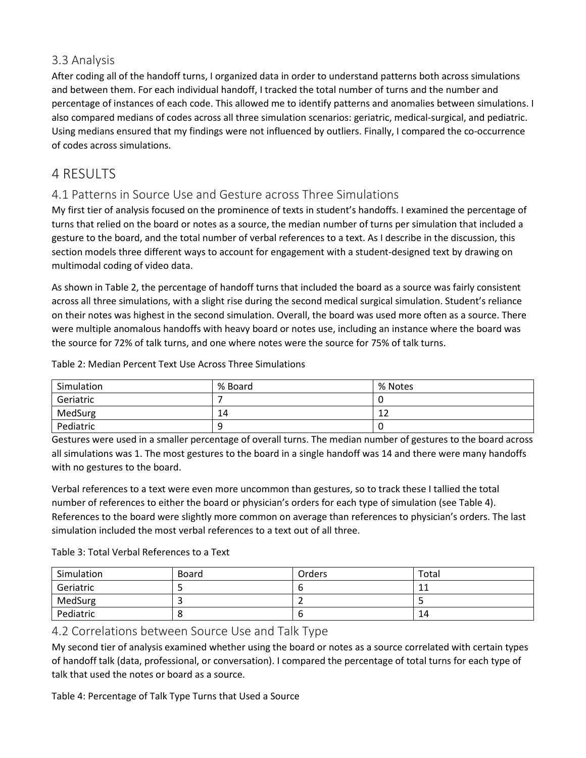#### 3.3 Analysis

After coding all of the handoff turns, I organized data in order to understand patterns both across simulations and between them. For each individual handoff, I tracked the total number of turns and the number and percentage of instances of each code. This allowed me to identify patterns and anomalies between simulations. I also compared medians of codes across all three simulation scenarios: geriatric, medical-surgical, and pediatric. Using medians ensured that my findings were not influenced by outliers. Finally, I compared the co-occurrence of codes across simulations.

## 4 RESULTS

#### 4.1 Patterns in Source Use and Gesture across Three Simulations

My first tier of analysis focused on the prominence of texts in student's handoffs. I examined the percentage of turns that relied on the board or notes as a source, the median number of turns per simulation that included a gesture to the board, and the total number of verbal references to a text. As I describe in the discussion, this section models three different ways to account for engagement with a student-designed text by drawing on multimodal coding of video data.

As shown in Table 2, the percentage of handoff turns that included the board as a source was fairly consistent across all three simulations, with a slight rise during the second medical surgical simulation. Student's reliance on their notes was highest in the second simulation. Overall, the board was used more often as a source. There were multiple anomalous handoffs with heavy board or notes use, including an instance where the board was the source for 72% of talk turns, and one where notes were the source for 75% of talk turns.

Table 2: Median Percent Text Use Across Three Simulations

| Simulation | % Board | % Notes      |
|------------|---------|--------------|
| Geriatric  |         |              |
| MedSurg    | 14      | $\sim$<br>∸∸ |
| Pediatric  | q       |              |

Gestures were used in a smaller percentage of overall turns. The median number of gestures to the board across all simulations was 1. The most gestures to the board in a single handoff was 14 and there were many handoffs with no gestures to the board.

Verbal references to a text were even more uncommon than gestures, so to track these I tallied the total number of references to either the board or physician's orders for each type of simulation (see Table 4). References to the board were slightly more common on average than references to physician's orders. The last simulation included the most verbal references to a text out of all three.

Table 3: Total Verbal References to a Text

| Simulation | Board | Orders | Total |
|------------|-------|--------|-------|
| Geriatric  |       | O      |       |
| MedSurg    |       |        |       |
| Pediatric  |       | O      | 14    |

#### 4.2 Correlations between Source Use and Talk Type

My second tier of analysis examined whether using the board or notes as a source correlated with certain types of handoff talk (data, professional, or conversation). I compared the percentage of total turns for each type of talk that used the notes or board as a source.

Table 4: Percentage of Talk Type Turns that Used a Source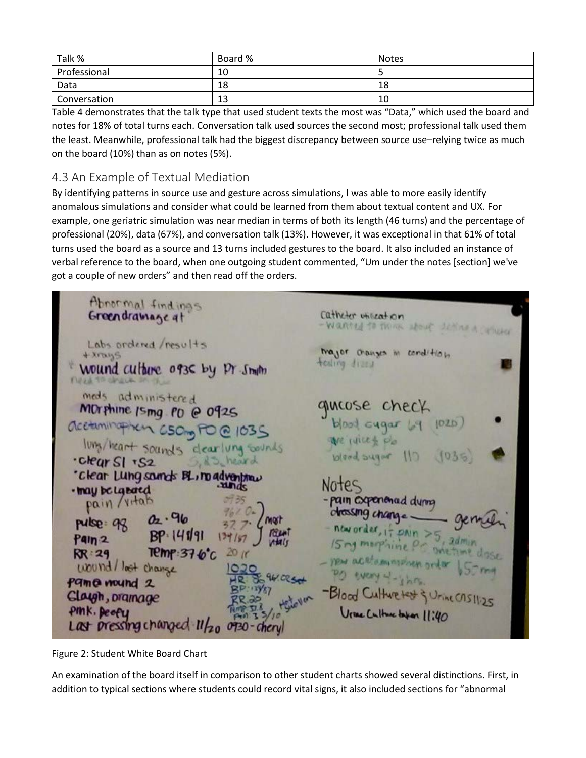| Talk %       | Board % | Notes |
|--------------|---------|-------|
| Professional | 10      |       |
| Data         | 18      | 18    |
| Conversation | 13      | 10    |

Table 4 demonstrates that the talk type that used student texts the most was "Data," which used the board and notes for 18% of total turns each. Conversation talk used sources the second most; professional talk used them the least. Meanwhile, professional talk had the biggest discrepancy between source use–relying twice as much on the board (10%) than as on notes (5%).

#### 4.3 An Example of Textual Mediation

By identifying patterns in source use and gesture across simulations, I was able to more easily identify anomalous simulations and consider what could be learned from them about textual content and UX. For example, one geriatric simulation was near median in terms of both its length (46 turns) and the percentage of professional (20%), data (67%), and conversation talk (13%). However, it was exceptional in that 61% of total turns used the board as a source and 13 turns included gestures to the board. It also included an instance of verbal reference to the board, when one outgoing student commented, "Um under the notes [section] we've got a couple of new orders" and then read off the orders.

Abnormal findings Greendramage at Catheter utilization wanted to think about detine a column Labs ordered results trajor cronges in condition + Arays tealing dies Wound culture 0936 by pr Smith meds administered gurose check MOrthine Ismg PD @ 0925  $bind\ c\uqar\ [q\ 102D]$ acetaminaphen C50mg PO @ 1035 We rulled pla lung/heart sounds clearlung sounds  $D(1 - \nu q)$  $1035$ · clear SI · S2 S.R.S. heard "Clear Lung sounds BL, no adventure Notes · may be Labaed pain/vitab - pain experienced dynne chossing change. pulse 98 02.96  $BP.14191$  $17 P$ <sub>Mn</sub>  $P$ ain 2 15rg morphine P.  $T$ emp:376 $^{\circ}$ c  $RR:29$ you act ammong on wound/lost change Pame wound 2 -Blood Culture test & Universitizes Claygh, pramage Ure Culture topen 11:40 PINK. Deefy Last pressing changed 11/20 0930-chery

Figure 2: Student White Board Chart

An examination of the board itself in comparison to other student charts showed several distinctions. First, in addition to typical sections where students could record vital signs, it also included sections for "abnormal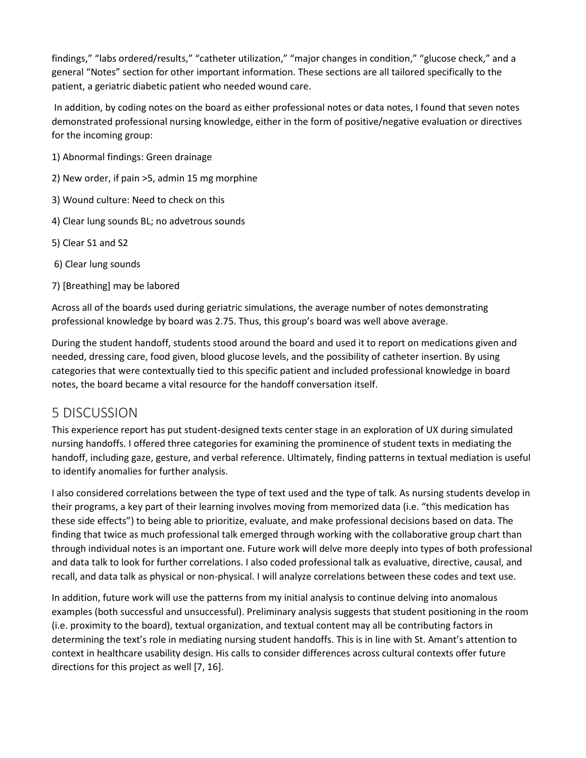findings," "labs ordered/results," "catheter utilization," "major changes in condition," "glucose check," and a general "Notes" section for other important information. These sections are all tailored specifically to the patient, a geriatric diabetic patient who needed wound care.

In addition, by coding notes on the board as either professional notes or data notes, I found that seven notes demonstrated professional nursing knowledge, either in the form of positive/negative evaluation or directives for the incoming group:

- 1) Abnormal findings: Green drainage
- 2) New order, if pain >5, admin 15 mg morphine
- 3) Wound culture: Need to check on this
- 4) Clear lung sounds BL; no advetrous sounds
- 5) Clear S1 and S2
- 6) Clear lung sounds
- 7) [Breathing] may be labored

Across all of the boards used during geriatric simulations, the average number of notes demonstrating professional knowledge by board was 2.75. Thus, this group's board was well above average.

During the student handoff, students stood around the board and used it to report on medications given and needed, dressing care, food given, blood glucose levels, and the possibility of catheter insertion. By using categories that were contextually tied to this specific patient and included professional knowledge in board notes, the board became a vital resource for the handoff conversation itself.

## 5 DISCUSSION

This experience report has put student-designed texts center stage in an exploration of UX during simulated nursing handoffs. I offered three categories for examining the prominence of student texts in mediating the handoff, including gaze, gesture, and verbal reference. Ultimately, finding patterns in textual mediation is useful to identify anomalies for further analysis.

I also considered correlations between the type of text used and the type of talk. As nursing students develop in their programs, a key part of their learning involves moving from memorized data (i.e. "this medication has these side effects") to being able to prioritize, evaluate, and make professional decisions based on data. The finding that twice as much professional talk emerged through working with the collaborative group chart than through individual notes is an important one. Future work will delve more deeply into types of both professional and data talk to look for further correlations. I also coded professional talk as evaluative, directive, causal, and recall, and data talk as physical or non-physical. I will analyze correlations between these codes and text use.

In addition, future work will use the patterns from my initial analysis to continue delving into anomalous examples (both successful and unsuccessful). Preliminary analysis suggests that student positioning in the room (i.e. proximity to the board), textual organization, and textual content may all be contributing factors in determining the text's role in mediating nursing student handoffs. This is in line with St. Amant's attention to context in healthcare usability design. His calls to consider differences across cultural contexts offer future directions for this project as well [7, 16].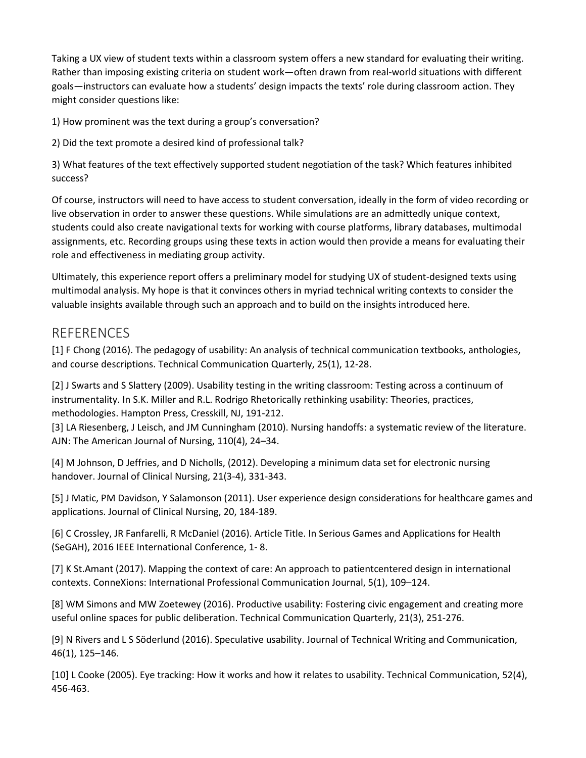Taking a UX view of student texts within a classroom system offers a new standard for evaluating their writing. Rather than imposing existing criteria on student work—often drawn from real-world situations with different goals—instructors can evaluate how a students' design impacts the texts' role during classroom action. They might consider questions like:

1) How prominent was the text during a group's conversation?

2) Did the text promote a desired kind of professional talk?

3) What features of the text effectively supported student negotiation of the task? Which features inhibited success?

Of course, instructors will need to have access to student conversation, ideally in the form of video recording or live observation in order to answer these questions. While simulations are an admittedly unique context, students could also create navigational texts for working with course platforms, library databases, multimodal assignments, etc. Recording groups using these texts in action would then provide a means for evaluating their role and effectiveness in mediating group activity.

Ultimately, this experience report offers a preliminary model for studying UX of student-designed texts using multimodal analysis. My hope is that it convinces others in myriad technical writing contexts to consider the valuable insights available through such an approach and to build on the insights introduced here.

### REFERENCES

[1] F Chong (2016). The pedagogy of usability: An analysis of technical communication textbooks, anthologies, and course descriptions. Technical Communication Quarterly, 25(1), 12-28.

[2] J Swarts and S Slattery (2009). Usability testing in the writing classroom: Testing across a continuum of instrumentality. In S.K. Miller and R.L. Rodrigo Rhetorically rethinking usability: Theories, practices, methodologies. Hampton Press, Cresskill, NJ, 191-212.

[3] LA Riesenberg, J Leisch, and JM Cunningham (2010). Nursing handoffs: a systematic review of the literature. AJN: The American Journal of Nursing, 110(4), 24–34.

[4] M Johnson, D Jeffries, and D Nicholls, (2012). Developing a minimum data set for electronic nursing handover. Journal of Clinical Nursing, 21(3-4), 331-343.

[5] J Matic, PM Davidson, Y Salamonson (2011). User experience design considerations for healthcare games and applications. Journal of Clinical Nursing, 20, 184-189.

[6] C Crossley, JR Fanfarelli, R McDaniel (2016). Article Title. In Serious Games and Applications for Health (SeGAH), 2016 IEEE International Conference, 1- 8.

[7] K St.Amant (2017). Mapping the context of care: An approach to patientcentered design in international contexts. ConneXions: International Professional Communication Journal, 5(1), 109–124.

[8] WM Simons and MW Zoetewey (2016). Productive usability: Fostering civic engagement and creating more useful online spaces for public deliberation. Technical Communication Quarterly, 21(3), 251-276.

[9] N Rivers and L S Söderlund (2016). Speculative usability. Journal of Technical Writing and Communication, 46(1), 125–146.

[10] L Cooke (2005). Eye tracking: How it works and how it relates to usability. Technical Communication, 52(4), 456-463.